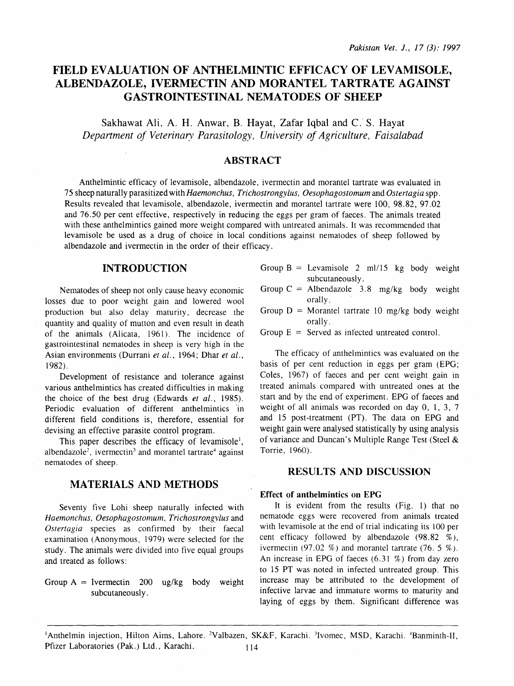# FIELD EVALUATION OF ANTHELMINTIC EFFICACY OF LEVAMISOLE, ALBENDAZOLE, IVERMECTIN AND MORANTEL TARTRATE AGAINST GASTROINTESTINAL NEMATODES OF SHEEP

Sakhawat Ali, A. H. Anwar, B. Hayat, Zafar Iqbal and C. S. Hayat *Department of Veterinary Parasitology, University of Agriculture, Faisalabad* 

### ABSTRACT

Anthelmintic efficacy of levamisole, albendazole, ivermectin and morantel tartrate was evaluated in 75 sheep naturally parasitized with *Haemonchus, Trichostrongylus, Oesophagostomum* and *Ostertagia* spp. Results revealed that levamisole, albendazole, ivermectin and morantel tartrate were 100, 98.82, 97.02 and 76.50 per cent effective, respectively in reducing the eggs per gram of faeces. The animals treated with these anthelmintics gained more weight compared with untreated animals. It was recommended that levamisole be used as a drug of choice in local conditions against nematodes of sheep followed by albendazole and ivermectin in the order of their efficacy.

### INTRODUCTION

Nematodes of sheep not only cause heavy economic losses due to poor weight gain and lowered wool production but also delay maturity, decrease the quantity and quality of mutton and even result in death of the animals (Alicata, 1961). The incidence of gastrointestinal nematodes in sheep is very high in the Asian environments (Durrani *et al.,* 1964; Dhar *et al.,*  1982).

Development of resistance and tolerance against various anthelmintics has created difficulties in making the choice of the best drug (Edwards *et al.,* 1985). Periodic evaluation of different anthelmintics in different field conditions is, therefore, essential for devising an effective parasite control program.

This paper describes the efficacy of levamisole<sup>1</sup>, albendazole<sup>2</sup>, ivermectin<sup>3</sup> and morantel tartrate<sup>4</sup> against nematodes of sheep.

# MATERIALS AND METHODS

Seventy five Lohi sheep naturally infected with *Haemonchus, Oesophagostomum. Trichostrongylus* and *Ostertagia* species as confirmed by their faecal examination (Anonymous, 1979) were selected for the study. The animals were divided into five equal groups and treated as follows:

Group  $A =$  Ivermectin 200 ug/kg body weight subcutaneously.

- Group  $B =$  Levamisole 2 ml/15 kg body weight subcutaneously.
- Group  $C =$  Albendazole 3.8 mg/kg body weight orally.
- Group  $D =$  Morantel tartrate 10 mg/kg body weight orally.
- Group  $E =$  Served as infected untreated control.

The efficacy of anthelmintics was evaluated on the basis of per cent reduction in eggs per gram (EPG; Coles, 1967) of faeces and per cent weight gain in treated animals compared with untreated ones at the start and by the end of experiment. EPG of faeces and weight of all animals was recorded on day 0, 1, 3, 7 and 15 post-treatment (PT). The data on EPG and weight gain were analysed statistically by using analysis of variance and Duncan's Multiple Range Test (Steel & Torrie, 1960).

# RESULTS AND DISCUSSION

### Effect of anthelmintics on EPG

It is evident from the results (Fig. 1) that no nematode eggs were recovered from animals treated with levamisole at the end of trial indicating its 100 per cent efficacy followed by albendazole  $(98.82 \frac{\%}{10})$ , ivermectin (97.02 %) and morantel tartrate (76. 5 %). An increase in EPG of faeces  $(6.31\%)$  from day zero to 15 PT was noted in infected untreated group. This increase may be attributed to the development of infective larvae and immature worms to maturity and laying of eggs by them. Significant difference was

<sup>1</sup>Anthelmin injection, Hilton Aims, Lahore. <sup>2</sup>Valbazen, SK&F, Karachi. <sup>3</sup>Ivomec, MSD, Karachi. <sup>4</sup>Banminth-II, Pfizer Laboratories (Pak.) Ltd., Karachi. 114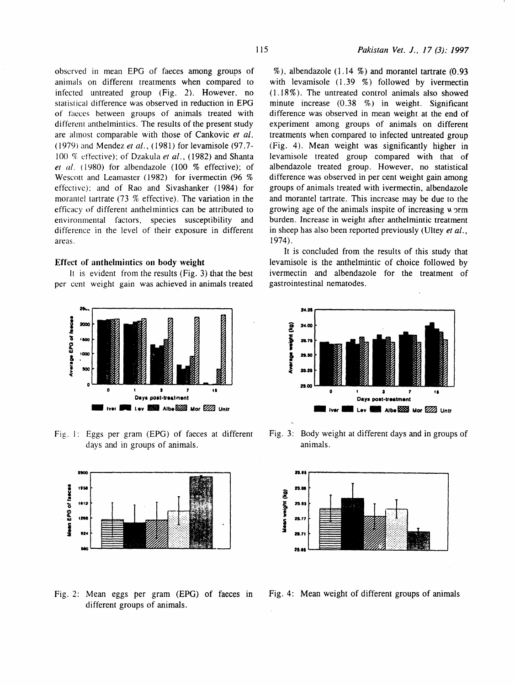observed in mean EPG of faeces among groups of animals on differem treatments when compared to infected untreated group (Fig. 2). However. no statistical difference was observed in reduction in EPG of faeces between groups of animals treated with differem anthelmintics. The results of the present study are almost comparable with those of Cankovic *et* at. ( 1979) and Mendez *et* at., (1981) for levamisole (97. 7- 100 % effective); of Dzakula et al., (1982) and Shanta *et al.* ( 1980) for albendazole (100 % effective); of Wescott and Leamaster (1982) for ivermectin (96 % effective): and of Rao and Sivashanker (1984) for morantel tartrate (73 % effective). The variation in the efficacy of different anthelmintics can be attributed to environmental factors, species susceptibility and difference in the level of their exposure in different areas.

#### Effect of anthelmintics on body weight

It is evident from the results (Fig. 3) that the best per cent weight gain was achieved in animals treated



Fig. I: Eggs per gram (EPG) of faeces at different days and in groups of animals.



Fig. 2: Mean eggs per gram (EPG) of faeces in different groups of animals.

 $\%$ ), albendazole (1.14  $\%$ ) and morantel tartrate (0.93 with levamisole  $(1.39 \t%)$  followed by ivermectin  $(1.18\%)$ . The untreated control animals also showed minute increase (0 .38 %) in weight. Significant difference was observed in mean weight at the end of experiment among groups of animals on different treatments when compared to infected untreated group (Fig. 4). Mean weight was significantly higher in levamisole treated group compared with that of albendazole treated group. However, no statistical difference was observed in per cent weight gain among groups of animals treated with ivermectin, albendazole and morantel tartrate. This increase may be due to the growing age of the animals inspite of increasing  $\mu$  orm burden. Increase in weight after anthelmintic treatment in sheep has also been reported previously (Ultey *et al.,*  1974).

It is concluded from the results of this study that Ievamisole is the anthelmintic of choice followed by ivermectin and albendazole for the treatment of gastrointestinal nematodes.



Fig. 3: Body weight at different days and in groups of animals.



Fig. 4: Mean weight of different groups of animals